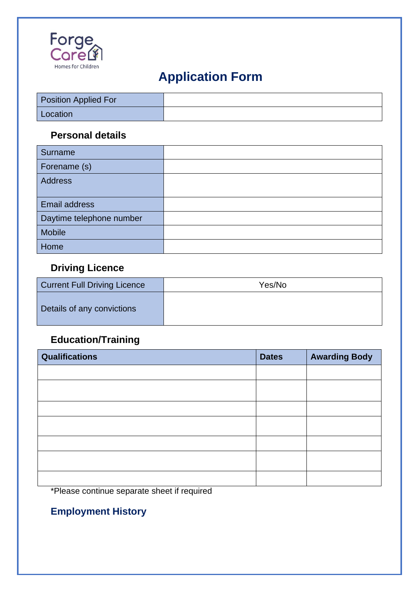

# **Application Form**

| Position Applied For |  |
|----------------------|--|
| Location             |  |

### **Personal details**

| Surname                  |  |
|--------------------------|--|
| Forename (s)             |  |
| <b>Address</b>           |  |
| Email address            |  |
| Daytime telephone number |  |
| <b>Mobile</b>            |  |
| Home                     |  |

### **Driving Licence**

| <b>Current Full Driving Licence</b> | Yes/No |
|-------------------------------------|--------|
| Details of any convictions          |        |

## **Education/Training**

| <b>Qualifications</b> | <b>Dates</b> | <b>Awarding Body</b> |
|-----------------------|--------------|----------------------|
|                       |              |                      |
|                       |              |                      |
|                       |              |                      |
|                       |              |                      |
|                       |              |                      |
|                       |              |                      |
|                       |              |                      |

\*Please continue separate sheet if required

## **Employment History**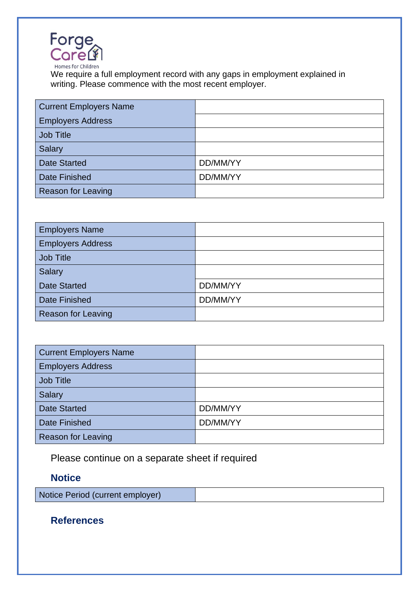

We require a full employment record with any gaps in employment explained in writing. Please commence with the most recent employer.

| <b>Current Employers Name</b> |          |
|-------------------------------|----------|
| <b>Employers Address</b>      |          |
| Job Title                     |          |
| Salary                        |          |
| <b>Date Started</b>           | DD/MM/YY |
| <b>Date Finished</b>          | DD/MM/YY |
| <b>Reason for Leaving</b>     |          |

| <b>Employers Name</b>    |          |
|--------------------------|----------|
| <b>Employers Address</b> |          |
| Job Title                |          |
| <b>Salary</b>            |          |
| <b>Date Started</b>      | DD/MM/YY |
| <b>Date Finished</b>     | DD/MM/YY |
| Reason for Leaving       |          |

| <b>Current Employers Name</b> |          |
|-------------------------------|----------|
| <b>Employers Address</b>      |          |
| <b>Job Title</b>              |          |
| <b>Salary</b>                 |          |
| <b>Date Started</b>           | DD/MM/YY |
| <b>Date Finished</b>          | DD/MM/YY |
| <b>Reason for Leaving</b>     |          |

Please continue on a separate sheet if required

### **Notice**

Notice Period (current employer)

#### **References**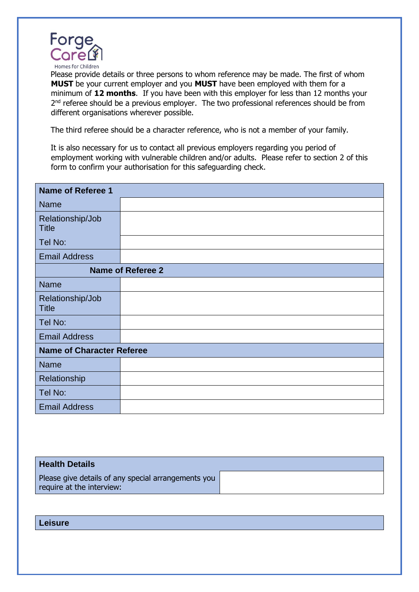

Please provide details or three persons to whom reference may be made. The first of whom **MUST** be your current employer and you **MUST** have been employed with them for a minimum of **12 months**. If you have been with this employer for less than 12 months your 2<sup>nd</sup> referee should be a previous employer. The two professional references should be from different organisations wherever possible.

The third referee should be a character reference, who is not a member of your family.

It is also necessary for us to contact all previous employers regarding you period of employment working with vulnerable children and/or adults. Please refer to section 2 of this form to confirm your authorisation for this safeguarding check.

| <b>Name of Referee 1</b>         |                          |
|----------------------------------|--------------------------|
| <b>Name</b>                      |                          |
| Relationship/Job<br><b>Title</b> |                          |
| Tel No:                          |                          |
| <b>Email Address</b>             |                          |
|                                  | <b>Name of Referee 2</b> |
| <b>Name</b>                      |                          |
| Relationship/Job<br><b>Title</b> |                          |
| Tel No:                          |                          |
| <b>Email Address</b>             |                          |
| <b>Name of Character Referee</b> |                          |
| <b>Name</b>                      |                          |
| Relationship                     |                          |
| Tel No:                          |                          |
| <b>Email Address</b>             |                          |

#### **Health Details**

Please give details of any special arrangements you require at the interview:

#### **Leisure**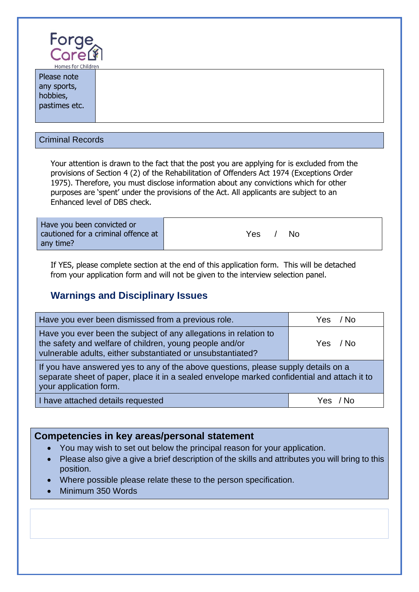

| <b>HOTTLES TOP CHILDIGHT</b> |  |
|------------------------------|--|
| Please note                  |  |
| any sports,                  |  |
| hobbies,                     |  |
| pastimes etc.                |  |
|                              |  |
|                              |  |

#### Criminal Records

Your attention is drawn to the fact that the post you are applying for is excluded from the provisions of Section 4 (2) of the Rehabilitation of Offenders Act 1974 (Exceptions Order 1975). Therefore, you must disclose information about any convictions which for other purposes are 'spent' under the provisions of the Act. All applicants are subject to an Enhanced level of DBS check.

| Have you been convicted or          | Yes |
|-------------------------------------|-----|
| cautioned for a criminal offence at | N٥  |
| any time?                           |     |

If YES, please complete section at the end of this application form. This will be detached from your application form and will not be given to the interview selection panel.

#### **Warnings and Disciplinary Issues**

| Have you ever been dismissed from a previous role.                                                                                                                                                          | Yes / No |  |
|-------------------------------------------------------------------------------------------------------------------------------------------------------------------------------------------------------------|----------|--|
| Have you ever been the subject of any allegations in relation to<br>the safety and welfare of children, young people and/or<br>vulnerable adults, either substantiated or unsubstantiated?                  | Yes / No |  |
| If you have answered yes to any of the above questions, please supply details on a<br>separate sheet of paper, place it in a sealed envelope marked confidential and attach it to<br>your application form. |          |  |
| I have attached details requested                                                                                                                                                                           | Yes / No |  |

#### **Competencies in key areas/personal statement**

- You may wish to set out below the principal reason for your application.
- Please also give a give a brief description of the skills and attributes you will bring to this position.
- Where possible please relate these to the person specification.
- Minimum 350 Words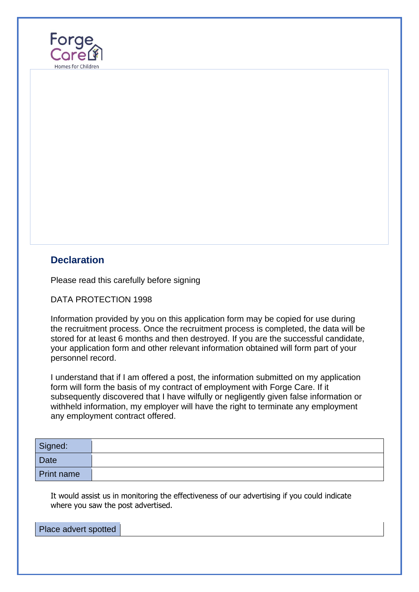

#### **Declaration**

Please read this carefully before signing

DATA PROTECTION 1998

Information provided by you on this application form may be copied for use during the recruitment process. Once the recruitment process is completed, the data will be stored for at least 6 months and then destroyed. If you are the successful candidate, your application form and other relevant information obtained will form part of your personnel record.

I understand that if I am offered a post, the information submitted on my application form will form the basis of my contract of employment with Forge Care. If it subsequently discovered that I have wilfully or negligently given false information or withheld information, my employer will have the right to terminate any employment any employment contract offered.

| Signed:           |  |
|-------------------|--|
| <b>Date</b>       |  |
| <b>Print name</b> |  |

It would assist us in monitoring the effectiveness of our advertising if you could indicate where you saw the post advertised.

| Place advert spotted |  |
|----------------------|--|
|                      |  |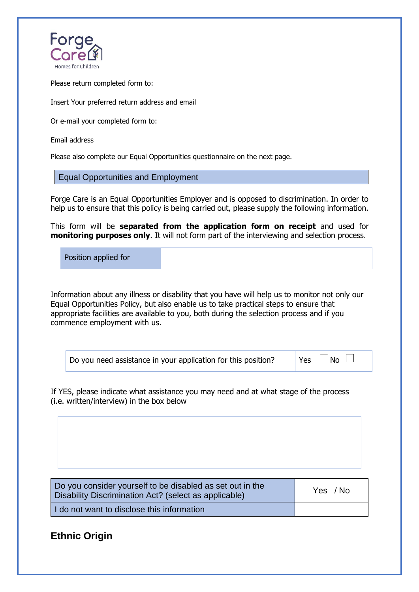

Please return completed form to:

Insert Your preferred return address and email

Or e-mail your completed form to:

Email address

Please also complete our Equal Opportunities questionnaire on the next page.

Equal Opportunities and Employment

Forge Care is an Equal Opportunities Employer and is opposed to discrimination. In order to help us to ensure that this policy is being carried out, please supply the following information.

This form will be **separated from the application form on receipt** and used for **monitoring purposes only**. It will not form part of the interviewing and selection process.

Position applied for

Information about any illness or disability that you have will help us to monitor not only our Equal Opportunities Policy, but also enable us to take practical steps to ensure that appropriate facilities are available to you, both during the selection process and if you commence employment with us.

Yes  $\Box$  No  $\Box$ 

If YES, please indicate what assistance you may need and at what stage of the process (i.e. written/interview) in the box below

| Do you consider yourself to be disabled as set out in the<br>Disability Discrimination Act? (select as applicable) | Yes / No |
|--------------------------------------------------------------------------------------------------------------------|----------|
| I do not want to disclose this information                                                                         |          |

#### **Ethnic Origin**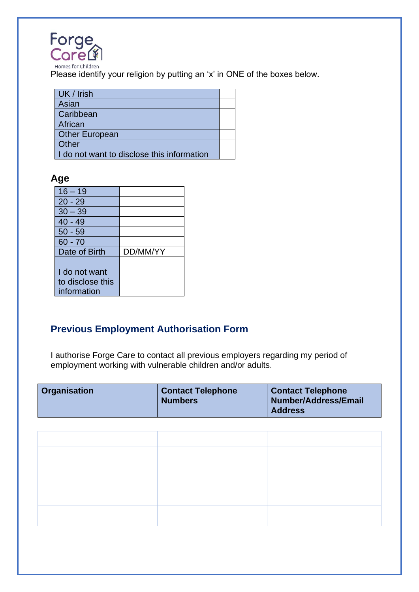

Please identify your religion by putting an 'x' in ONE of the boxes below.

| UK / Irish                                 |  |
|--------------------------------------------|--|
| Asian                                      |  |
| Caribbean                                  |  |
| African                                    |  |
| <b>Other European</b>                      |  |
| Other                                      |  |
| I do not want to disclose this information |  |

#### **Age**

| $16 - 19$        |          |
|------------------|----------|
| $20 - 29$        |          |
| $30 - 39$        |          |
| $40 - 49$        |          |
| $50 - 59$        |          |
| 60 - 70          |          |
| Date of Birth    | DD/MM/YY |
|                  |          |
| I do not want    |          |
| to disclose this |          |
| information      |          |

### **Previous Employment Authorisation Form**

I authorise Forge Care to contact all previous employers regarding my period of employment working with vulnerable children and/or adults.

| <b>Organisation</b> | <b>Contact Telephone</b><br><b>Numbers</b> | <b>Contact Telephone</b><br><b>Number/Address/Email</b><br><b>Address</b> |
|---------------------|--------------------------------------------|---------------------------------------------------------------------------|
|---------------------|--------------------------------------------|---------------------------------------------------------------------------|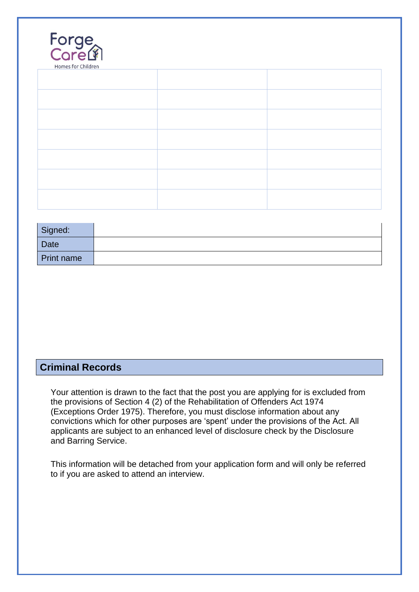| Forge<br>Core<br>Homes for Children |  |
|-------------------------------------|--|
|                                     |  |
|                                     |  |
|                                     |  |
|                                     |  |
|                                     |  |
|                                     |  |
|                                     |  |

| Signed:           |  |
|-------------------|--|
| Date              |  |
| <b>Print name</b> |  |

### **Criminal Records**

Your attention is drawn to the fact that the post you are applying for is excluded from the provisions of Section 4 (2) of the Rehabilitation of Offenders Act 1974 (Exceptions Order 1975). Therefore, you must disclose information about any convictions which for other purposes are 'spent' under the provisions of the Act. All applicants are subject to an enhanced level of disclosure check by the Disclosure and Barring Service.

This information will be detached from your application form and will only be referred to if you are asked to attend an interview.